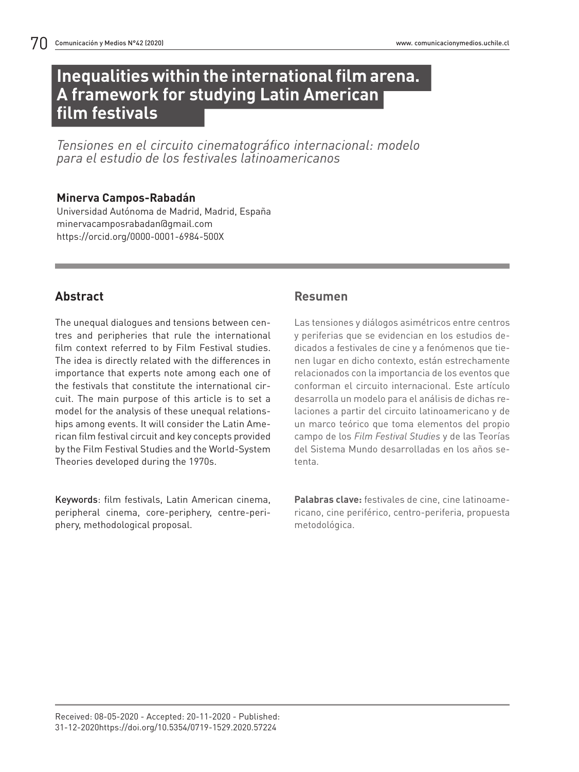# **Inequalities within the international film arena. A framework for studying Latin American film festivals**

*Tensiones en el circuito cinematográfico internacional: modelo para el estudio de los festivales latinoamericanos*

### **Minerva Campos-Rabadán**

Universidad Autónoma de Madrid, Madrid, España minervacamposrabadan@gmail.com https://orcid.org/0000-0001-6984-500X

# **Abstract**

The unequal dialogues and tensions between centres and peripheries that rule the international film context referred to by Film Festival studies. The idea is directly related with the differences in importance that experts note among each one of the festivals that constitute the international circuit. The main purpose of this article is to set a model for the analysis of these unequal relationships among events. It will consider the Latin American film festival circuit and key concepts provided by the Film Festival Studies and the World-System Theories developed during the 1970s.

Keywords: film festivals, Latin American cinema, peripheral cinema, core-periphery, centre-periphery, methodological proposal.

### **Resumen**

Las tensiones y diálogos asimétricos entre centros y periferias que se evidencian en los estudios dedicados a festivales de cine y a fenómenos que tienen lugar en dicho contexto, están estrechamente relacionados con la importancia de los eventos que conforman el circuito internacional. Este artículo desarrolla un modelo para el análisis de dichas relaciones a partir del circuito latinoamericano y de un marco teórico que toma elementos del propio campo de los *Film Festival Studies* y de las Teorías del Sistema Mundo desarrolladas en los años setenta.

**Palabras clave:** festivales de cine, cine latinoamericano, cine periférico, centro-periferia, propuesta metodológica.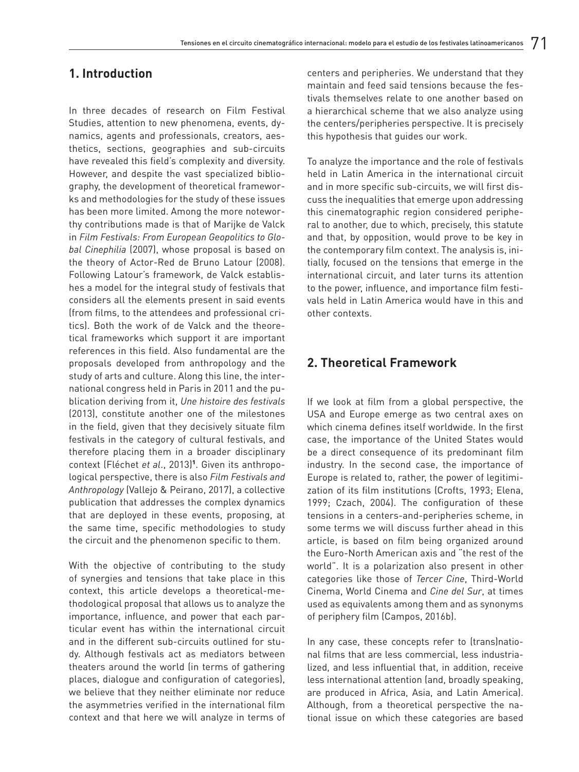### **1. Introduction**

In three decades of research on Film Festival Studies, attention to new phenomena, events, dynamics, agents and professionals, creators, aesthetics, sections, geographies and sub-circuits have revealed this field's complexity and diversity. However, and despite the vast specialized bibliography, the development of theoretical frameworks and methodologies for the study of these issues has been more limited. Among the more noteworthy contributions made is that of Marijke de Valck in *Film Festivals: From European Geopolitics to Global Cinephilia* (2007), whose proposal is based on the theory of Actor-Red de Bruno Latour (2008). Following Latour's framework, de Valck establishes a model for the integral study of festivals that considers all the elements present in said events (from films, to the attendees and professional critics). Both the work of de Valck and the theoretical frameworks which support it are important references in this field. Also fundamental are the proposals developed from anthropology and the study of arts and culture. Along this line, the international congress held in Paris in 2011 and the publication deriving from it, *Une histoire des festivals*  (2013), constitute another one of the milestones in the field, given that they decisively situate film festivals in the category of cultural festivals, and therefore placing them in a broader disciplinary context (Fléchet *et al*., 2013)<sup>1</sup> . Given its anthropological perspective, there is also *Film Festivals and Anthropology* (Vallejo & Peirano, 2017), a collective publication that addresses the complex dynamics that are deployed in these events, proposing, at the same time, specific methodologies to study the circuit and the phenomenon specific to them.

With the objective of contributing to the study of synergies and tensions that take place in this context, this article develops a theoretical-methodological proposal that allows us to analyze the importance, influence, and power that each particular event has within the international circuit and in the different sub-circuits outlined for study. Although festivals act as mediators between theaters around the world (in terms of gathering places, dialogue and configuration of categories), we believe that they neither eliminate nor reduce the asymmetries verified in the international film context and that here we will analyze in terms of centers and peripheries. We understand that they maintain and feed said tensions because the festivals themselves relate to one another based on a hierarchical scheme that we also analyze using the centers/peripheries perspective. It is precisely this hypothesis that guides our work.

To analyze the importance and the role of festivals held in Latin America in the international circuit and in more specific sub-circuits, we will first discuss the inequalities that emerge upon addressing this cinematographic region considered peripheral to another, due to which, precisely, this statute and that, by opposition, would prove to be key in the contemporary film context. The analysis is, initially, focused on the tensions that emerge in the international circuit, and later turns its attention to the power, influence, and importance film festivals held in Latin America would have in this and other contexts.

### **2. Theoretical Framework**

If we look at film from a global perspective, the USA and Europe emerge as two central axes on which cinema defines itself worldwide. In the first case, the importance of the United States would be a direct consequence of its predominant film industry. In the second case, the importance of Europe is related to, rather, the power of legitimization of its film institutions (Crofts, 1993; Elena, 1999; Czach, 2004). The configuration of these tensions in a centers-and-peripheries scheme, in some terms we will discuss further ahead in this article, is based on film being organized around the Euro-North American axis and "the rest of the world". It is a polarization also present in other categories like those of *Tercer Cine*, Third-World Cinema, World Cinema and *Cine del Sur*, at times used as equivalents among them and as synonyms of periphery film (Campos, 2016b).

In any case, these concepts refer to (trans)national films that are less commercial, less industrialized, and less influential that, in addition, receive less international attention (and, broadly speaking, are produced in Africa, Asia, and Latin America). Although, from a theoretical perspective the national issue on which these categories are based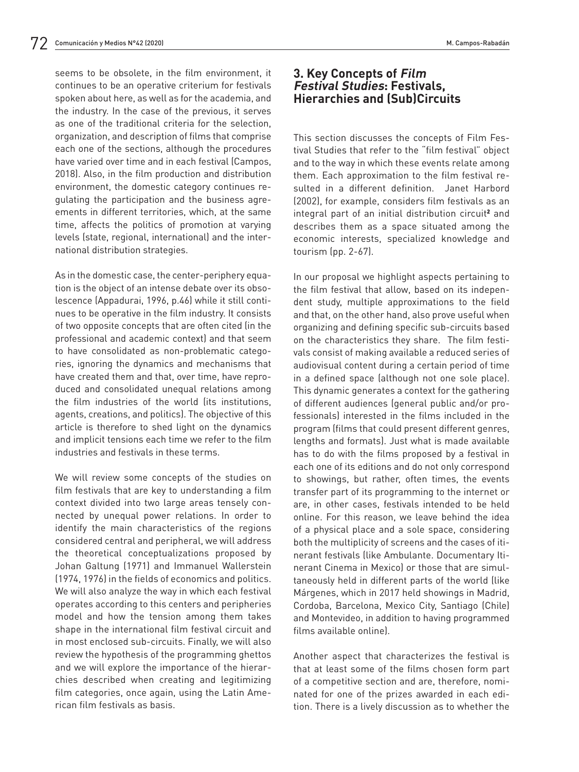seems to be obsolete, in the film environment, it continues to be an operative criterium for festivals spoken about here, as well as for the academia, and the industry. In the case of the previous, it serves as one of the traditional criteria for the selection, organization, and description of films that comprise each one of the sections, although the procedures have varied over time and in each festival (Campos, 2018). Also, in the film production and distribution environment, the domestic category continues regulating the participation and the business agreements in different territories, which, at the same time, affects the politics of promotion at varying levels (state, regional, international) and the international distribution strategies.

As in the domestic case, the center-periphery equation is the object of an intense debate over its obsolescence (Appadurai, 1996, p.46) while it still continues to be operative in the film industry. It consists of two opposite concepts that are often cited (in the professional and academic context) and that seem to have consolidated as non-problematic categories, ignoring the dynamics and mechanisms that have created them and that, over time, have reproduced and consolidated unequal relations among the film industries of the world (its institutions, agents, creations, and politics). The objective of this article is therefore to shed light on the dynamics and implicit tensions each time we refer to the film industries and festivals in these terms.

We will review some concepts of the studies on film festivals that are key to understanding a film context divided into two large areas tensely connected by unequal power relations. In order to identify the main characteristics of the regions considered central and peripheral, we will address the theoretical conceptualizations proposed by Johan Galtung (1971) and Immanuel Wallerstein (1974, 1976) in the fields of economics and politics. We will also analyze the way in which each festival operates according to this centers and peripheries model and how the tension among them takes shape in the international film festival circuit and in most enclosed sub-circuits. Finally, we will also review the hypothesis of the programming ghettos and we will explore the importance of the hierarchies described when creating and legitimizing film categories, once again, using the Latin American film festivals as basis.

### **3. Key Concepts of Film Festival Studies: Festivals, Hierarchies and (Sub)Circuits**

This section discusses the concepts of Film Festival Studies that refer to the "film festival" object and to the way in which these events relate among them. Each approximation to the film festival resulted in a different definition. Janet Harbord (2002), for example, considers film festivals as an integral part of an initial distribution circuit<sup>2</sup> and describes them as a space situated among the economic interests, specialized knowledge and tourism (pp. 2-67).

In our proposal we highlight aspects pertaining to the film festival that allow, based on its independent study, multiple approximations to the field and that, on the other hand, also prove useful when organizing and defining specific sub-circuits based on the characteristics they share. The film festivals consist of making available a reduced series of audiovisual content during a certain period of time in a defined space (although not one sole place). This dynamic generates a context for the gathering of different audiences (general public and/or professionals) interested in the films included in the program (films that could present different genres, lengths and formats). Just what is made available has to do with the films proposed by a festival in each one of its editions and do not only correspond to showings, but rather, often times, the events transfer part of its programming to the internet or are, in other cases, festivals intended to be held online. For this reason, we leave behind the idea of a physical place and a sole space, considering both the multiplicity of screens and the cases of itinerant festivals (like Ambulante. Documentary Itinerant Cinema in Mexico) or those that are simultaneously held in different parts of the world (like Márgenes, which in 2017 held showings in Madrid, Cordoba, Barcelona, Mexico City, Santiago (Chile) and Montevideo, in addition to having programmed films available online).

Another aspect that characterizes the festival is that at least some of the films chosen form part of a competitive section and are, therefore, nominated for one of the prizes awarded in each edition. There is a lively discussion as to whether the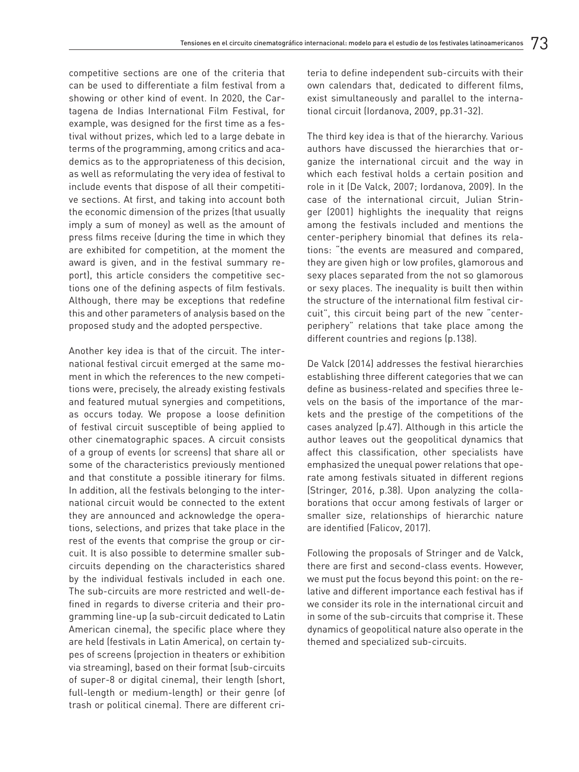competitive sections are one of the criteria that can be used to differentiate a film festival from a showing or other kind of event. In 2020, the Cartagena de Indias International Film Festival, for example, was designed for the first time as a festival without prizes, which led to a large debate in terms of the programming, among critics and academics as to the appropriateness of this decision, as well as reformulating the very idea of festival to include events that dispose of all their competitive sections. At first, and taking into account both the economic dimension of the prizes (that usually imply a sum of money) as well as the amount of press films receive (during the time in which they are exhibited for competition, at the moment the award is given, and in the festival summary report), this article considers the competitive sections one of the defining aspects of film festivals. Although, there may be exceptions that redefine this and other parameters of analysis based on the proposed study and the adopted perspective.

Another key idea is that of the circuit. The international festival circuit emerged at the same moment in which the references to the new competitions were, precisely, the already existing festivals and featured mutual synergies and competitions, as occurs today. We propose a loose definition of festival circuit susceptible of being applied to other cinematographic spaces. A circuit consists of a group of events (or screens) that share all or some of the characteristics previously mentioned and that constitute a possible itinerary for films. In addition, all the festivals belonging to the international circuit would be connected to the extent they are announced and acknowledge the operations, selections, and prizes that take place in the rest of the events that comprise the group or circuit. It is also possible to determine smaller subcircuits depending on the characteristics shared by the individual festivals included in each one. The sub-circuits are more restricted and well-defined in regards to diverse criteria and their programming line-up (a sub-circuit dedicated to Latin American cinema), the specific place where they are held (festivals in Latin America), on certain types of screens (projection in theaters or exhibition via streaming), based on their format (sub-circuits of super-8 or digital cinema), their length (short, full-length or medium-length) or their genre (of trash or political cinema). There are different criteria to define independent sub-circuits with their own calendars that, dedicated to different films, exist simultaneously and parallel to the international circuit (Iordanova, 2009, pp.31-32).

The third key idea is that of the hierarchy. Various authors have discussed the hierarchies that organize the international circuit and the way in which each festival holds a certain position and role in it (De Valck, 2007; Iordanova, 2009). In the case of the international circuit, Julian Stringer (2001) highlights the inequality that reigns among the festivals included and mentions the center-periphery binomial that defines its relations: "the events are measured and compared, they are given high or low profiles, glamorous and sexy places separated from the not so glamorous or sexy places. The inequality is built then within the structure of the international film festival circuit", this circuit being part of the new "centerperiphery" relations that take place among the different countries and regions (p.138).

De Valck (2014) addresses the festival hierarchies establishing three different categories that we can define as business-related and specifies three levels on the basis of the importance of the markets and the prestige of the competitions of the cases analyzed (p.47). Although in this article the author leaves out the geopolitical dynamics that affect this classification, other specialists have emphasized the unequal power relations that operate among festivals situated in different regions (Stringer, 2016, p.38). Upon analyzing the collaborations that occur among festivals of larger or smaller size, relationships of hierarchic nature are identified (Falicov, 2017).

Following the proposals of Stringer and de Valck, there are first and second-class events. However, we must put the focus beyond this point: on the relative and different importance each festival has if we consider its role in the international circuit and in some of the sub-circuits that comprise it. These dynamics of geopolitical nature also operate in the themed and specialized sub-circuits.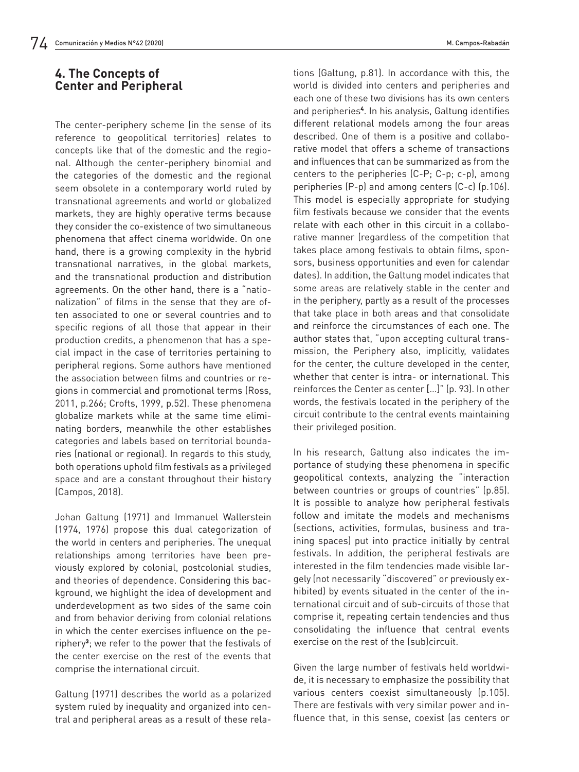## **4. The Concepts of Center and Peripheral**

The center-periphery scheme (in the sense of its reference to geopolitical territories) relates to concepts like that of the domestic and the regional. Although the center-periphery binomial and the categories of the domestic and the regional seem obsolete in a contemporary world ruled by transnational agreements and world or globalized markets, they are highly operative terms because they consider the co-existence of two simultaneous phenomena that affect cinema worldwide. On one hand, there is a growing complexity in the hybrid transnational narratives, in the global markets, and the transnational production and distribution agreements. On the other hand, there is a "nationalization" of films in the sense that they are often associated to one or several countries and to specific regions of all those that appear in their production credits, a phenomenon that has a special impact in the case of territories pertaining to peripheral regions. Some authors have mentioned the association between films and countries or regions in commercial and promotional terms (Ross, 2011, p.266; Crofts, 1999, p.52). These phenomena globalize markets while at the same time eliminating borders, meanwhile the other establishes categories and labels based on territorial boundaries (national or regional). In regards to this study, both operations uphold film festivals as a privileged space and are a constant throughout their history (Campos, 2018).

Johan Galtung (1971) and Immanuel Wallerstein (1974, 1976) propose this dual categorization of the world in centers and peripheries. The unequal relationships among territories have been previously explored by colonial, postcolonial studies, and theories of dependence. Considering this background, we highlight the idea of development and underdevelopment as two sides of the same coin and from behavior deriving from colonial relations in which the center exercises influence on the periphery<sup>3</sup>; we refer to the power that the festivals of the center exercise on the rest of the events that comprise the international circuit.

Galtung (1971) describes the world as a polarized system ruled by inequality and organized into central and peripheral areas as a result of these relations (Galtung, p.81). In accordance with this, the world is divided into centers and peripheries and each one of these two divisions has its own centers and peripheries<sup>4</sup> . In his analysis, Galtung identifies different relational models among the four areas described. One of them is a positive and collaborative model that offers a scheme of transactions and influences that can be summarized as from the centers to the peripheries (C-P; C-p; c-p), among peripheries (P-p) and among centers (C-c) (p.106). This model is especially appropriate for studying film festivals because we consider that the events relate with each other in this circuit in a collaborative manner (regardless of the competition that takes place among festivals to obtain films, sponsors, business opportunities and even for calendar dates). In addition, the Galtung model indicates that some areas are relatively stable in the center and in the periphery, partly as a result of the processes that take place in both areas and that consolidate and reinforce the circumstances of each one. The author states that, "upon accepting cultural transmission, the Periphery also, implicitly, validates for the center, the culture developed in the center, whether that center is intra- or international. This reinforces the Center as center […]" (p. 93). In other words, the festivals located in the periphery of the circuit contribute to the central events maintaining their privileged position.

In his research, Galtung also indicates the importance of studying these phenomena in specific geopolitical contexts, analyzing the "interaction between countries or groups of countries" (p.85). It is possible to analyze how peripheral festivals follow and imitate the models and mechanisms (sections, activities, formulas, business and training spaces) put into practice initially by central festivals. In addition, the peripheral festivals are interested in the film tendencies made visible largely (not necessarily "discovered" or previously exhibited) by events situated in the center of the international circuit and of sub-circuits of those that comprise it, repeating certain tendencies and thus consolidating the influence that central events exercise on the rest of the (sub)circuit.

Given the large number of festivals held worldwide, it is necessary to emphasize the possibility that various centers coexist simultaneously (p.105). There are festivals with very similar power and influence that, in this sense, coexist (as centers or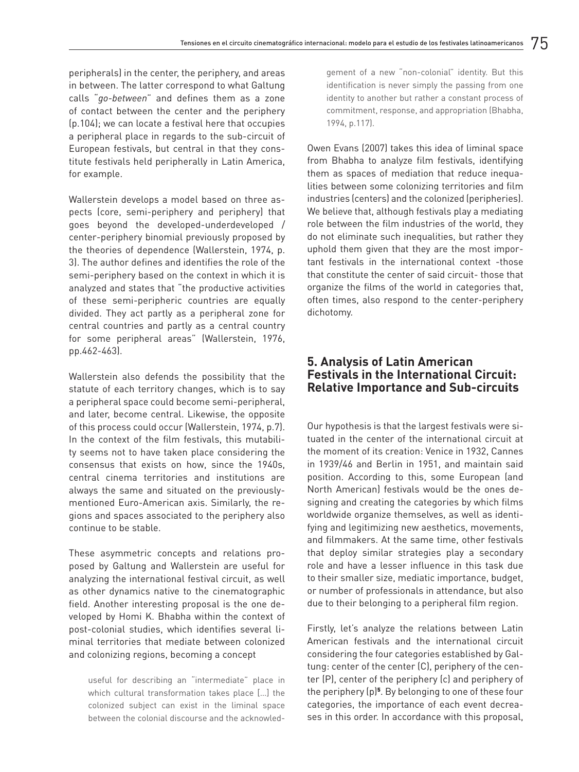peripherals) in the center, the periphery, and areas in between. The latter correspond to what Galtung calls "*go-between*" and defines them as a zone of contact between the center and the periphery (p.104); we can locate a festival here that occupies a peripheral place in regards to the sub-circuit of European festivals, but central in that they constitute festivals held peripherally in Latin America, for example.

Wallerstein develops a model based on three aspects (core, semi-periphery and periphery) that goes beyond the developed-underdeveloped / center-periphery binomial previously proposed by the theories of dependence (Wallerstein, 1974, p. 3). The author defines and identifies the role of the semi-periphery based on the context in which it is analyzed and states that "the productive activities of these semi-peripheric countries are equally divided. They act partly as a peripheral zone for central countries and partly as a central country for some peripheral areas" (Wallerstein, 1976, pp.462-463).

Wallerstein also defends the possibility that the statute of each territory changes, which is to say a peripheral space could become semi-peripheral, and later, become central. Likewise, the opposite of this process could occur (Wallerstein, 1974, p.7). In the context of the film festivals, this mutability seems not to have taken place considering the consensus that exists on how, since the 1940s, central cinema territories and institutions are always the same and situated on the previouslymentioned Euro-American axis. Similarly, the regions and spaces associated to the periphery also continue to be stable.

These asymmetric concepts and relations proposed by Galtung and Wallerstein are useful for analyzing the international festival circuit, as well as other dynamics native to the cinematographic field. Another interesting proposal is the one developed by Homi K. Bhabha within the context of post-colonial studies, which identifies several liminal territories that mediate between colonized and colonizing regions, becoming a concept

useful for describing an "intermediate" place in which cultural transformation takes place […] the colonized subject can exist in the liminal space between the colonial discourse and the acknowled-

gement of a new "non-colonial" identity. But this identification is never simply the passing from one identity to another but rather a constant process of commitment, response, and appropriation (Bhabha, 1994, p.117).

Owen Evans (2007) takes this idea of liminal space from Bhabha to analyze film festivals, identifying them as spaces of mediation that reduce inequalities between some colonizing territories and film industries (centers) and the colonized (peripheries). We believe that, although festivals play a mediating role between the film industries of the world, they do not eliminate such inequalities, but rather they uphold them given that they are the most important festivals in the international context -those that constitute the center of said circuit- those that organize the films of the world in categories that, often times, also respond to the center-periphery dichotomy.

#### **5. Analysis of Latin American Festivals in the International Circuit: Relative Importance and Sub-circuits**

Our hypothesis is that the largest festivals were situated in the center of the international circuit at the moment of its creation: Venice in 1932, Cannes in 1939/46 and Berlin in 1951, and maintain said position. According to this, some European (and North American) festivals would be the ones designing and creating the categories by which films worldwide organize themselves, as well as identifying and legitimizing new aesthetics, movements, and filmmakers. At the same time, other festivals that deploy similar strategies play a secondary role and have a lesser influence in this task due to their smaller size, mediatic importance, budget, or number of professionals in attendance, but also due to their belonging to a peripheral film region.

Firstly, let's analyze the relations between Latin American festivals and the international circuit considering the four categories established by Galtung: center of the center (C), periphery of the center (P), center of the periphery (c) and periphery of the periphery (p)<sup>5</sup>. By belonging to one of these four categories, the importance of each event decreases in this order. In accordance with this proposal,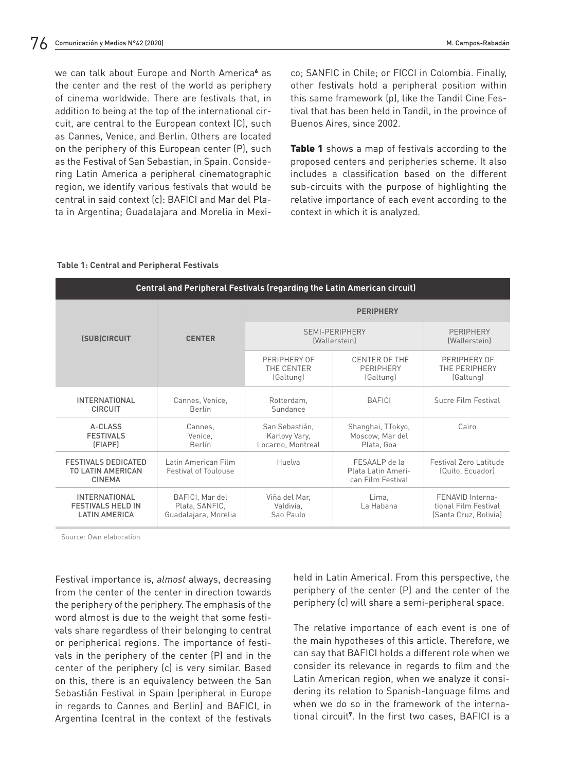we can talk about Europe and North America<sup>6</sup> as the center and the rest of the world as periphery of cinema worldwide. There are festivals that, in addition to being at the top of the international circuit, are central to the European context (C), such as Cannes, Venice, and Berlin. Others are located on the periphery of this European center (P), such as the Festival of San Sebastian, in Spain. Considering Latin America a peripheral cinematographic region, we identify various festivals that would be central in said context (c): BAFICI and Mar del Plata in Argentina; Guadalajara and Morelia in Mexico; SANFIC in Chile; or FICCI in Colombia. Finally, other festivals hold a peripheral position within this same framework (p), like the Tandil Cine Festival that has been held in Tandil, in the province of Buenos Aires, since 2002.

**Table 1** shows a map of festivals according to the proposed centers and peripheries scheme. It also includes a classification based on the different sub-circuits with the purpose of highlighting the relative importance of each event according to the context in which it is analyzed.

#### **Table 1: Central and Peripheral Festivals**

| <b>Central and Peripheral Festivals (regarding the Latin American circuit)</b> |                                                           |                                                      |                                                          |                                                                   |
|--------------------------------------------------------------------------------|-----------------------------------------------------------|------------------------------------------------------|----------------------------------------------------------|-------------------------------------------------------------------|
| <b>(SUB)CIRCUIT</b>                                                            | <b>CENTER</b>                                             | <b>PERIPHERY</b>                                     |                                                          |                                                                   |
|                                                                                |                                                           | SEMI-PERIPHERY<br><i>(Wallerstein)</i>               |                                                          | PERIPHERY<br><i>(Wallerstein)</i>                                 |
|                                                                                |                                                           | PERIPHERY OF<br>THE CENTER<br>(Galtung)              | CENTER OF THE<br>PERIPHERY<br>(Galtung)                  | PERIPHERY OF<br>THE PERIPHERY<br>(Galtung)                        |
| <b>INTERNATIONAL</b><br><b>CIRCUIT</b>                                         | Cannes, Venice,<br>Berlín                                 | Rotterdam.<br>Sundance                               | <b>BAFICI</b>                                            | Sucre Film Festival                                               |
| A-CLASS<br><b>FESTIVALS</b><br>(FIAPF)                                         | Cannes.<br>Venice,<br>Berlín                              | San Sebastián.<br>Karlovy Vary,<br>Locarno, Montreal | Shanghai, TTokyo,<br>Moscow, Mar del<br>Plata, Goa       | Cairo                                                             |
| <b>FESTIVALS DEDICATED</b><br>TO LATIN AMERICAN<br><b>CINEMA</b>               | Latin American Film<br><b>Festival of Toulouse</b>        | Huelva                                               | FFSAALP de la<br>Plata Latin Ameri-<br>can Film Festival | Festival Zero Latitude<br>(Quito, Ecuador)                        |
| <b>INTERNATIONAL</b><br><b>FESTIVALS HELD IN</b><br><b>LATIN AMERICA</b>       | BAFICI, Mar del<br>Plata, SANFIC,<br>Guadalajara, Morelia | Viña del Mar,<br>Valdivia.<br>Sao Paulo              | Lima.<br>La Habana                                       | FENAVID Interna-<br>tional Film Festival<br>(Santa Cruz, Bolivia) |

Source: Own elaboration

Festival importance is, *almost* always, decreasing from the center of the center in direction towards the periphery of the periphery. The emphasis of the word almost is due to the weight that some festivals share regardless of their belonging to central or peripherical regions. The importance of festivals in the periphery of the center (P) and in the center of the periphery (c) is very similar. Based on this, there is an equivalency between the San Sebastián Festival in Spain (peripheral in Europe in regards to Cannes and Berlin) and BAFICI, in Argentina (central in the context of the festivals held in Latin America). From this perspective, the periphery of the center (P) and the center of the periphery (c) will share a semi-peripheral space.

The relative importance of each event is one of the main hypotheses of this article. Therefore, we can say that BAFICI holds a different role when we consider its relevance in regards to film and the Latin American region, when we analyze it considering its relation to Spanish-language films and when we do so in the framework of the international circuit<sup>7</sup> . In the first two cases, BAFICI is a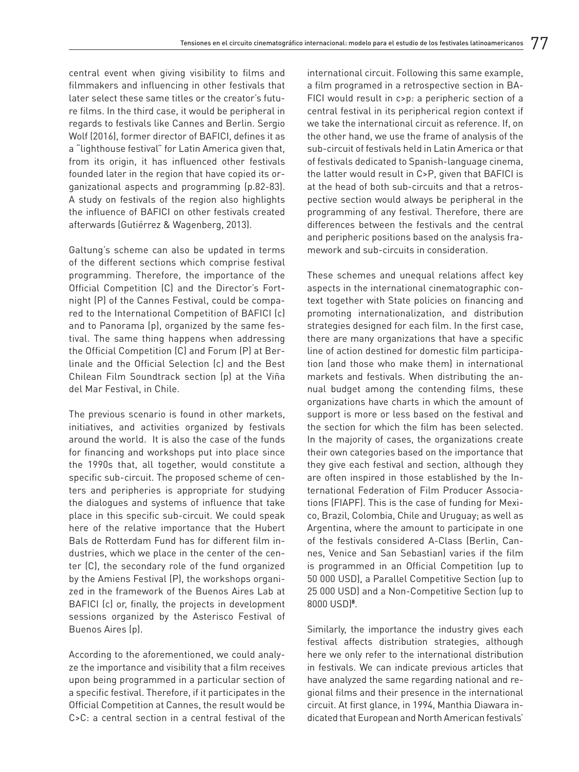central event when giving visibility to films and filmmakers and influencing in other festivals that later select these same titles or the creator's future films. In the third case, it would be peripheral in regards to festivals like Cannes and Berlin. Sergio Wolf (2016), former director of BAFICI, defines it as a "lighthouse festival" for Latin America given that, from its origin, it has influenced other festivals founded later in the region that have copied its organizational aspects and programming (p.82-83). A study on festivals of the region also highlights the influence of BAFICI on other festivals created afterwards (Gutiérrez & Wagenberg, 2013).

Galtung's scheme can also be updated in terms of the different sections which comprise festival programming. Therefore, the importance of the Official Competition (C) and the Director's Fortnight (P) of the Cannes Festival, could be compared to the International Competition of BAFICI (c) and to Panorama (p), organized by the same festival. The same thing happens when addressing the Official Competition (C) and Forum (P) at Berlinale and the Official Selection (c) and the Best Chilean Film Soundtrack section (p) at the Viña del Mar Festival, in Chile.

The previous scenario is found in other markets, initiatives, and activities organized by festivals around the world. It is also the case of the funds for financing and workshops put into place since the 1990s that, all together, would constitute a specific sub-circuit. The proposed scheme of centers and peripheries is appropriate for studying the dialogues and systems of influence that take place in this specific sub-circuit. We could speak here of the relative importance that the Hubert Bals de Rotterdam Fund has for different film industries, which we place in the center of the center (C), the secondary role of the fund organized by the Amiens Festival (P), the workshops organized in the framework of the Buenos Aires Lab at BAFICI (c) or, finally, the projects in development sessions organized by the Asterisco Festival of Buenos Aires (p).

According to the aforementioned, we could analyze the importance and visibility that a film receives upon being programmed in a particular section of a specific festival. Therefore, if it participates in the Official Competition at Cannes, the result would be C>C: a central section in a central festival of the international circuit. Following this same example, a film programed in a retrospective section in BA-FICI would result in c>p: a peripheric section of a central festival in its peripherical region context if we take the international circuit as reference. If, on the other hand, we use the frame of analysis of the sub-circuit of festivals held in Latin America or that of festivals dedicated to Spanish-language cinema, the latter would result in C>P, given that BAFICI is at the head of both sub-circuits and that a retrospective section would always be peripheral in the programming of any festival. Therefore, there are differences between the festivals and the central and peripheric positions based on the analysis framework and sub-circuits in consideration.

These schemes and unequal relations affect key aspects in the international cinematographic context together with State policies on financing and promoting internationalization, and distribution strategies designed for each film. In the first case, there are many organizations that have a specific line of action destined for domestic film participation (and those who make them) in international markets and festivals. When distributing the annual budget among the contending films, these organizations have charts in which the amount of support is more or less based on the festival and the section for which the film has been selected. In the majority of cases, the organizations create their own categories based on the importance that they give each festival and section, although they are often inspired in those established by the International Federation of Film Producer Associations (FIAPF). This is the case of funding for Mexico, Brazil, Colombia, Chile and Uruguay; as well as Argentina, where the amount to participate in one of the festivals considered A-Class (Berlin, Cannes, Venice and San Sebastian) varies if the film is programmed in an Official Competition (up to 50 000 USD), a Parallel Competitive Section (up to 25 000 USD) and a Non-Competitive Section (up to 8000 USD)**<sup>8</sup>** .

Similarly, the importance the industry gives each festival affects distribution strategies, although here we only refer to the international distribution in festivals. We can indicate previous articles that have analyzed the same regarding national and regional films and their presence in the international circuit. At first glance, in 1994, Manthia Diawara indicated that European and North American festivals'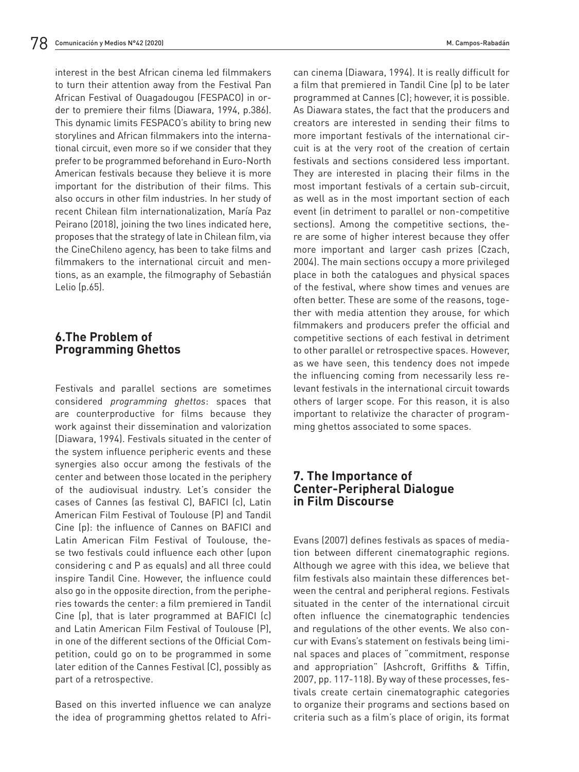interest in the best African cinema led filmmakers to turn their attention away from the Festival Pan African Festival of Ouagadougou (FESPACO) in order to premiere their films (Diawara, 1994, p.386). This dynamic limits FESPACO's ability to bring new storylines and African filmmakers into the international circuit, even more so if we consider that they prefer to be programmed beforehand in Euro-North American festivals because they believe it is more important for the distribution of their films. This also occurs in other film industries. In her study of recent Chilean film internationalization, María Paz Peirano (2018), joining the two lines indicated here, proposes that the strategy of late in Chilean film, via the CineChileno agency, has been to take films and filmmakers to the international circuit and mentions, as an example, the filmography of Sebastián Lelio (p.65).

### **6.The Problem of Programming Ghettos**

Festivals and parallel sections are sometimes considered *programming ghettos*: spaces that are counterproductive for films because they work against their dissemination and valorization (Diawara, 1994). Festivals situated in the center of the system influence peripheric events and these synergies also occur among the festivals of the center and between those located in the periphery of the audiovisual industry. Let's consider the cases of Cannes (as festival C), BAFICI (c), Latin American Film Festival of Toulouse (P) and Tandil Cine (p): the influence of Cannes on BAFICI and Latin American Film Festival of Toulouse, these two festivals could influence each other (upon considering c and P as equals) and all three could inspire Tandil Cine. However, the influence could also go in the opposite direction, from the peripheries towards the center: a film premiered in Tandil Cine (p), that is later programmed at BAFICI (c) and Latin American Film Festival of Toulouse (P), in one of the different sections of the Official Competition, could go on to be programmed in some later edition of the Cannes Festival (C), possibly as part of a retrospective.

Based on this inverted influence we can analyze the idea of programming ghettos related to African cinema (Diawara, 1994). It is really difficult for a film that premiered in Tandil Cine (p) to be later programmed at Cannes (C); however, it is possible. As Diawara states, the fact that the producers and creators are interested in sending their films to more important festivals of the international circuit is at the very root of the creation of certain festivals and sections considered less important. They are interested in placing their films in the most important festivals of a certain sub-circuit, as well as in the most important section of each event (in detriment to parallel or non-competitive sections). Among the competitive sections, there are some of higher interest because they offer more important and larger cash prizes (Czach, 2004). The main sections occupy a more privileged place in both the catalogues and physical spaces of the festival, where show times and venues are often better. These are some of the reasons, together with media attention they arouse, for which filmmakers and producers prefer the official and competitive sections of each festival in detriment to other parallel or retrospective spaces. However, as we have seen, this tendency does not impede the influencing coming from necessarily less relevant festivals in the international circuit towards others of larger scope. For this reason, it is also important to relativize the character of programming ghettos associated to some spaces.

### **7. The Importance of Center-Peripheral Dialogue in Film Discourse**

Evans (2007) defines festivals as spaces of mediation between different cinematographic regions. Although we agree with this idea, we believe that film festivals also maintain these differences between the central and peripheral regions. Festivals situated in the center of the international circuit often influence the cinematographic tendencies and regulations of the other events. We also concur with Evans's statement on festivals being liminal spaces and places of "commitment, response and appropriation" (Ashcroft, Griffiths & Tiffin, 2007, pp. 117-118). By way of these processes, festivals create certain cinematographic categories to organize their programs and sections based on criteria such as a film's place of origin, its format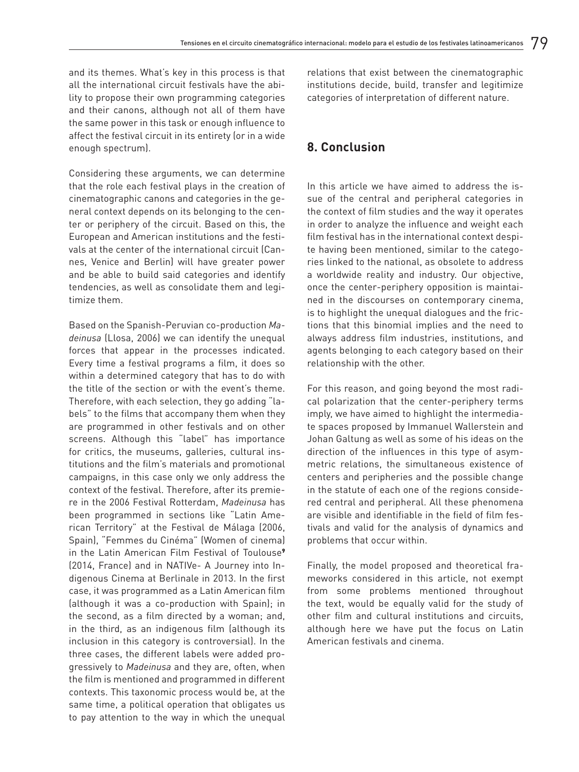and its themes. What's key in this process is that all the international circuit festivals have the ability to propose their own programming categories and their canons, although not all of them have the same power in this task or enough influence to affect the festival circuit in its entirety (or in a wide enough spectrum).

Considering these arguments, we can determine that the role each festival plays in the creation of cinematographic canons and categories in the general context depends on its belonging to the center or periphery of the circuit. Based on this, the European and American institutions and the festivals at the center of the international circuit (Cannes, Venice and Berlin) will have greater power and be able to build said categories and identify tendencies, as well as consolidate them and legitimize them.

Based on the Spanish-Peruvian co-production *Madeinusa* (Llosa, 2006) we can identify the unequal forces that appear in the processes indicated. Every time a festival programs a film, it does so within a determined category that has to do with the title of the section or with the event's theme. Therefore, with each selection, they go adding "labels" to the films that accompany them when they are programmed in other festivals and on other screens. Although this "label" has importance for critics, the museums, galleries, cultural institutions and the film's materials and promotional campaigns, in this case only we only address the context of the festival. Therefore, after its premiere in the 2006 Festival Rotterdam, *Madeinusa* has been programmed in sections like "Latin American Territory" at the Festival de Málaga (2006, Spain), "Femmes du Cinéma" (Women of cinema) in the Latin American Film Festival of Toulouse<sup>9</sup> (2014, France) and in NATIVe- A Journey into Indigenous Cinema at Berlinale in 2013. In the first case, it was programmed as a Latin American film (although it was a co-production with Spain); in the second, as a film directed by a woman; and, in the third, as an indigenous film (although its inclusion in this category is controversial). In the three cases, the different labels were added progressively to *Madeinusa* and they are, often, when the film is mentioned and programmed in different contexts. This taxonomic process would be, at the same time, a political operation that obligates us to pay attention to the way in which the unequal

relations that exist between the cinematographic institutions decide, build, transfer and legitimize categories of interpretation of different nature.

### **8. Conclusion**

In this article we have aimed to address the issue of the central and peripheral categories in the context of film studies and the way it operates in order to analyze the influence and weight each film festival has in the international context despite having been mentioned, similar to the categories linked to the national, as obsolete to address a worldwide reality and industry. Our objective, once the center-periphery opposition is maintained in the discourses on contemporary cinema, is to highlight the unequal dialogues and the frictions that this binomial implies and the need to always address film industries, institutions, and agents belonging to each category based on their relationship with the other.

For this reason, and going beyond the most radical polarization that the center-periphery terms imply, we have aimed to highlight the intermediate spaces proposed by Immanuel Wallerstein and Johan Galtung as well as some of his ideas on the direction of the influences in this type of asymmetric relations, the simultaneous existence of centers and peripheries and the possible change in the statute of each one of the regions considered central and peripheral. All these phenomena are visible and identifiable in the field of film festivals and valid for the analysis of dynamics and problems that occur within.

Finally, the model proposed and theoretical frameworks considered in this article, not exempt from some problems mentioned throughout the text, would be equally valid for the study of other film and cultural institutions and circuits, although here we have put the focus on Latin American festivals and cinema.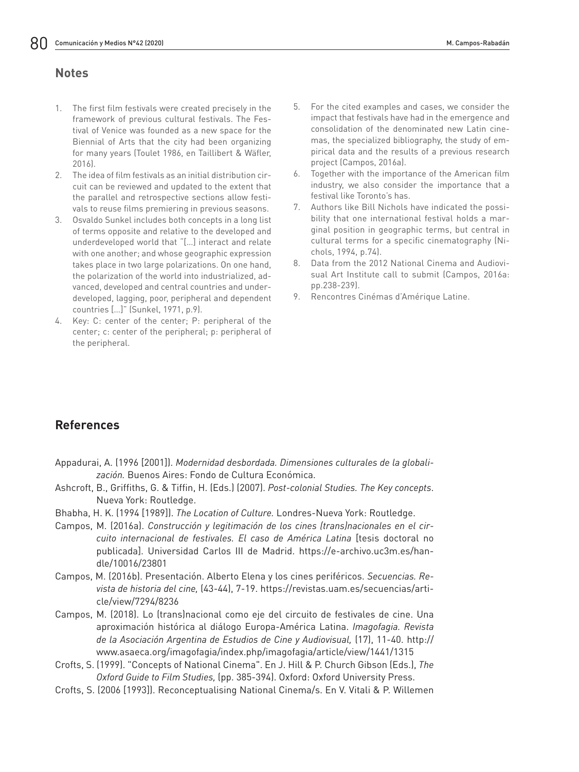### **Notes**

- 1. The first film festivals were created precisely in the framework of previous cultural festivals. The Festival of Venice was founded as a new space for the Biennial of Arts that the city had been organizing for many years (Toulet 1986, en Taillibert & Wäfler, 2016).
- 2. The idea of film festivals as an initial distribution circuit can be reviewed and updated to the extent that the parallel and retrospective sections allow festivals to reuse films premiering in previous seasons.
- 3. Osvaldo Sunkel includes both concepts in a long list of terms opposite and relative to the developed and underdeveloped world that "[…] interact and relate with one another; and whose geographic expression takes place in two large polarizations. On one hand, the polarization of the world into industrialized, advanced, developed and central countries and underdeveloped, lagging, poor, peripheral and dependent countries […]" (Sunkel, 1971, p.9).
- 4. Key: C: center of the center; P: peripheral of the center; c: center of the peripheral; p: peripheral of the peripheral.
- 5. For the cited examples and cases, we consider the impact that festivals have had in the emergence and consolidation of the denominated new Latin cinemas, the specialized bibliography, the study of empirical data and the results of a previous research project (Campos, 2016a).
- 6. Together with the importance of the American film industry, we also consider the importance that a festival like Toronto's has.
- 7. Authors like Bill Nichols have indicated the possibility that one international festival holds a marginal position in geographic terms, but central in cultural terms for a specific cinematography (Nichols, 1994, p.74).
- 8. Data from the 2012 National Cinema and Audiovisual Art Institute call to submit (Campos, 2016a: pp.238-239).
- 9. Rencontres Cinémas d'Amérique Latine.

# **References**

- Appadurai, A. (1996 [2001]). *Modernidad desbordada. Dimensiones culturales de la globalización.* Buenos Aires: Fondo de Cultura Económica.
- Ashcroft, B., Griffiths, G. & Tiffin, H. (Eds.) (2007). *Post-colonial Studies. The Key concepts*. Nueva York: Routledge.
- Bhabha, H. K. (1994 [1989]). *The Location of Culture.* Londres-Nueva York: Routledge.
- Campos, M. (2016a). *Construcción y legitimación de los cines (trans)nacionales en el circuito internacional de festivales. El caso de América Latina* [tesis doctoral no publicada]. Universidad Carlos III de Madrid. https://e-archivo.uc3m.es/handle/10016/23801
- Campos, M. (2016b). Presentación. Alberto Elena y los cines periféricos. *Secuencias. Revista de historia del cine,* (43-44), 7-19. https://revistas.uam.es/secuencias/article/view/7294/8236
- Campos, M. (2018). Lo (trans)nacional como eje del circuito de festivales de cine. Una aproximación histórica al diálogo Europa-América Latina. *Imagofagia. Revista de la Asociación Argentina de Estudios de Cine y Audiovisual,* (17), 11-40. http:// www.asaeca.org/imagofagia/index.php/imagofagia/article/view/1441/1315
- Crofts, S. (1999). "Concepts of National Cinema". En J. Hill & P. Church Gibson (Eds.), *The Oxford Guide to Film Studies,* (pp. 385-394). Oxford: Oxford University Press.
- Crofts, S. (2006 [1993]). Reconceptualising National Cinema/s. En V. Vitali & P. Willemen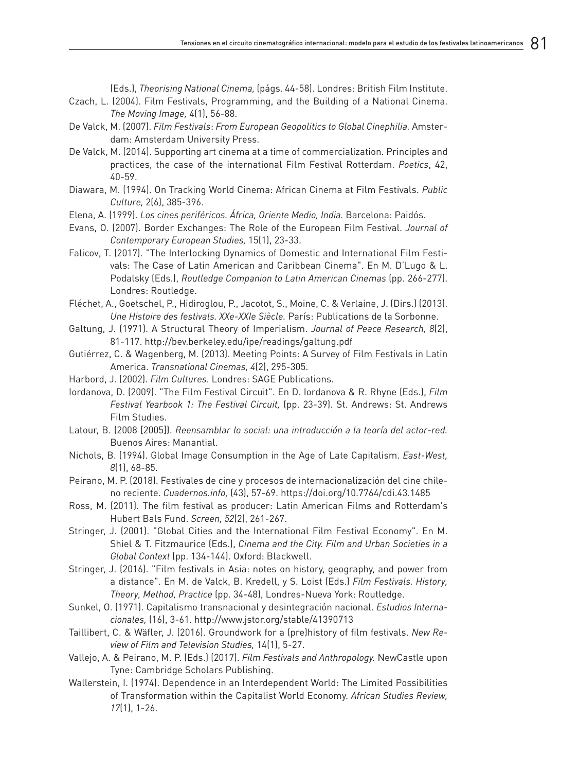(Eds.), *Theorising National Cinema,* (págs. 44-58). Londres: British Film Institute.

- Czach, L. (2004). Film Festivals, Programming, and the Building of a National Cinema. *The Moving Image,* 4(1), 56-88.
- De Valck, M. (2007). *Film Festivals*: *From European Geopolitics to Global Cinephilia.* Amsterdam: Amsterdam University Press.
- De Valck, M. (2014). Supporting art cinema at a time of commercialization. Principles and practices, the case of the international Film Festival Rotterdam. *Poetics*, 42, 40-59.
- Diawara, M. (1994). On Tracking World Cinema: African Cinema at Film Festivals. *Public Culture,* 2(6), 385-396.
- Elena, A. (1999). *Los cines periféricos. África, Oriente Medio, India.* Barcelona: Paidós.
- Evans, O. (2007). Border Exchanges: The Role of the European Film Festival. *Journal of Contemporary European Studies,* 15(1), 23-33.
- Falicov, T. (2017). "The Interlocking Dynamics of Domestic and International Film Festivals: The Case of Latin American and Caribbean Cinema". En M. D'Lugo & L. Podalsky (Eds.), *Routledge Companion to Latin American Cinemas* (pp. 266-277). Londres: Routledge.
- Fléchet, A., Goetschel, P., Hidiroglou, P., Jacotot, S., Moine, C. & Verlaine, J. (Dirs.) (2013). *Une Histoire des festivals. XXe-XXIe Siècle.* París: Publications de la Sorbonne.
- Galtung, J. (1971). A Structural Theory of Imperialism. *Journal of Peace Research, 8*(2), 81-117. http://bev.berkeley.edu/ipe/readings/galtung.pdf
- Gutiérrez, C. & Wagenberg, M. (2013). Meeting Points: A Survey of Film Festivals in Latin America. *Transnational Cinemas, 4*(2), 295-305.
- Harbord, J. (2002). *Film Cultures*. Londres: SAGE Publications.
- Iordanova, D. (2009). "The Film Festival Circuit". En D. Iordanova & R. Rhyne (Eds.), *Film Festival Yearbook 1: The Festival Circuit,* (pp. 23-39). St. Andrews: St. Andrews Film Studies.
- Latour, B. (2008 [2005]). *Reensamblar lo social: una introducción a la teoría del actor-red.*  Buenos Aires: Manantial.
- Nichols, B. (1994). Global Image Consumption in the Age of Late Capitalism. *East-West, 8*(1), 68-85.
- Peirano, M. P. (2018). Festivales de cine y procesos de internacionalización del cine chileno reciente. *Cuadernos.info,* (43), 57-69. https://doi.org/10.7764/cdi.43.1485
- Ross, M. (2011). The film festival as producer: Latin American Films and Rotterdam's Hubert Bals Fund. *Screen, 52*(2), 261-267.
- Stringer, J. (2001). "Global Cities and the International Film Festival Economy". En M. Shiel & T. Fitzmaurice (Eds.), *Cinema and the City. Film and Urban Societies in a Global Context* (pp. 134-144). Oxford: Blackwell.
- Stringer, J. (2016). "Film festivals in Asia: notes on history, geography, and power from a distance". En M. de Valck, B. Kredell, y S. Loist (Eds.) *Film Festivals. History, Theory, Method, Practice* (pp. 34-48), Londres-Nueva York: Routledge.
- Sunkel, O. (1971). Capitalismo transnacional y desintegración nacional. *Estudios Internacionales,* (16), 3-61. http://www.jstor.org/stable/41390713
- Taillibert, C. & Wäfler, J. (2016). Groundwork for a (pre)history of film festivals. *New Review of Film and Television Studies,* 14(1), 5-27.
- Vallejo, A. & Peirano, M. P. (Eds.) (2017). *Film Festivals and Anthropology.* NewCastle upon Tyne: Cambridge Scholars Publishing.
- Wallerstein, I. (1974). Dependence in an Interdependent World: The Limited Possibilities of Transformation within the Capitalist World Economy. *African Studies Review, 17*(1), 1-26.